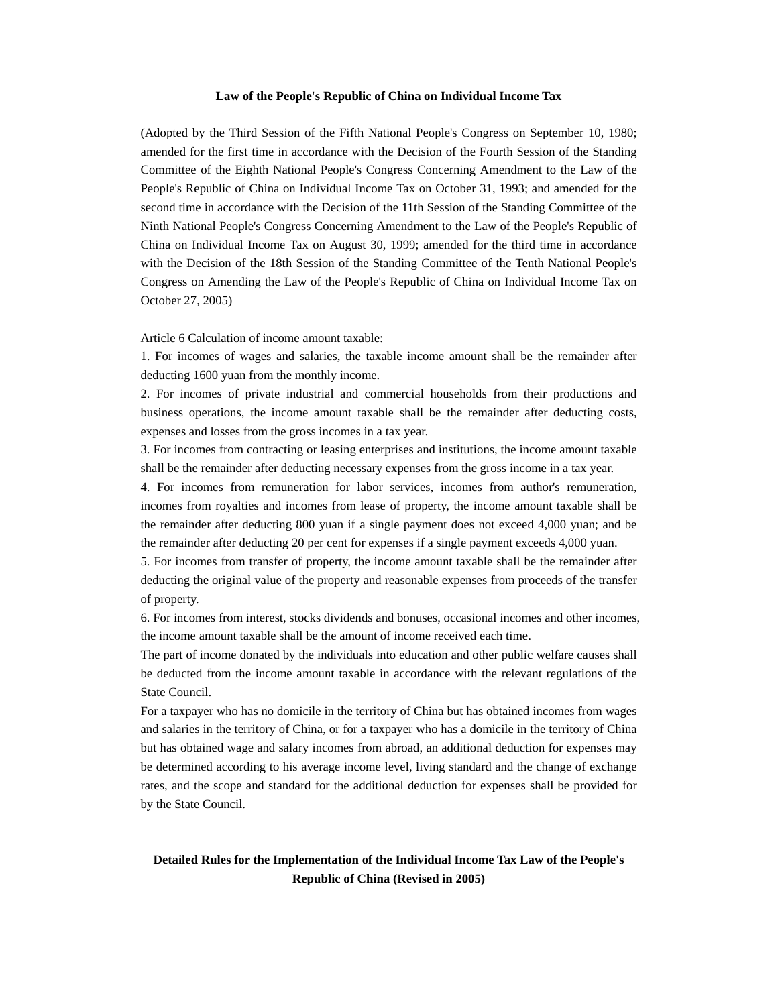## **Law of the People's Republic of China on Individual Income Tax**

(Adopted by the Third Session of the Fifth National People's Congress on September 10, 1980; amended for the first time in accordance with the Decision of the Fourth Session of the Standing Committee of the Eighth National People's Congress Concerning Amendment to the Law of the People's Republic of China on Individual Income Tax on October 31, 1993; and amended for the second time in accordance with the Decision of the 11th Session of the Standing Committee of the Ninth National People's Congress Concerning Amendment to the Law of the People's Republic of China on Individual Income Tax on August 30, 1999; amended for the third time in accordance with the Decision of the 18th Session of the Standing Committee of the Tenth National People's Congress on Amending the Law of the People's Republic of China on Individual Income Tax on October 27, 2005)

Article 6 Calculation of income amount taxable:

1. For incomes of wages and salaries, the taxable income amount shall be the remainder after deducting 1600 yuan from the monthly income.

2. For incomes of private industrial and commercial households from their productions and business operations, the income amount taxable shall be the remainder after deducting costs, expenses and losses from the gross incomes in a tax year.

3. For incomes from contracting or leasing enterprises and institutions, the income amount taxable shall be the remainder after deducting necessary expenses from the gross income in a tax year.

4. For incomes from remuneration for labor services, incomes from author's remuneration, incomes from royalties and incomes from lease of property, the income amount taxable shall be the remainder after deducting 800 yuan if a single payment does not exceed 4,000 yuan; and be the remainder after deducting 20 per cent for expenses if a single payment exceeds 4,000 yuan.

5. For incomes from transfer of property, the income amount taxable shall be the remainder after deducting the original value of the property and reasonable expenses from proceeds of the transfer of property.

6. For incomes from interest, stocks dividends and bonuses, occasional incomes and other incomes, the income amount taxable shall be the amount of income received each time.

The part of income donated by the individuals into education and other public welfare causes shall be deducted from the income amount taxable in accordance with the relevant regulations of the State Council.

For a taxpayer who has no domicile in the territory of China but has obtained incomes from wages and salaries in the territory of China, or for a taxpayer who has a domicile in the territory of China but has obtained wage and salary incomes from abroad, an additional deduction for expenses may be determined according to his average income level, living standard and the change of exchange rates, and the scope and standard for the additional deduction for expenses shall be provided for by the State Council.

## **Detailed Rules for the Implementation of the Individual Income Tax Law of the People's Republic of China (Revised in 2005)**